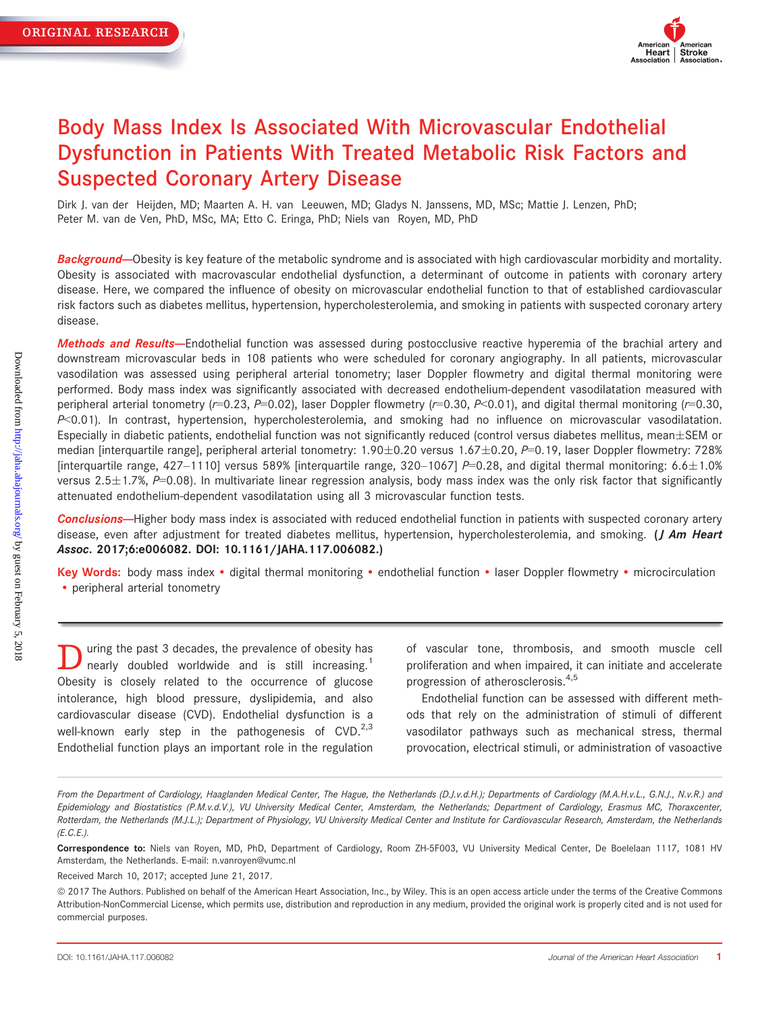

# Body Mass Index Is Associated With Microvascular Endothelial Dysfunction in Patients With Treated Metabolic Risk Factors and Suspected Coronary Artery Disease

Dirk J. van der Heijden, MD; Maarten A. H. van Leeuwen, MD; Gladys N. Janssens, MD, MSc; Mattie J. Lenzen, PhD; Peter M. van de Ven, PhD, MSc, MA; Etto C. Eringa, PhD; Niels van Royen, MD, PhD

Background-Obesity is key feature of the metabolic syndrome and is associated with high cardiovascular morbidity and mortality. Obesity is associated with macrovascular endothelial dysfunction, a determinant of outcome in patients with coronary artery disease. Here, we compared the influence of obesity on microvascular endothelial function to that of established cardiovascular risk factors such as diabetes mellitus, hypertension, hypercholesterolemia, and smoking in patients with suspected coronary artery disease.

Methods and Results-Endothelial function was assessed during postocclusive reactive hyperemia of the brachial artery and downstream microvascular beds in 108 patients who were scheduled for coronary angiography. In all patients, microvascular vasodilation was assessed using peripheral arterial tonometry; laser Doppler flowmetry and digital thermal monitoring were performed. Body mass index was significantly associated with decreased endothelium-dependent vasodilatation measured with peripheral arterial tonometry ( $r=0.23$ ,  $P=0.02$ ), laser Doppler flowmetry ( $r=0.30$ ,  $P<0.01$ ), and digital thermal monitoring ( $r=0.30$ , P<0.01). In contrast, hypertension, hypercholesterolemia, and smoking had no influence on microvascular vasodilatation. Especially in diabetic patients, endothelial function was not significantly reduced (control versus diabetes mellitus, mean $\pm$ SEM or median [interquartile range], peripheral arterial tonometry:  $1.90 \pm 0.20$  versus  $1.67 \pm 0.20$ ,  $P=0.19$ , laser Doppler flowmetry: 728% [interquartile range, 427–1110] versus 589% [interquartile range, 320–1067] P=0.28, and digital thermal monitoring: 6.6 $\pm$ 1.0% versus 2.5 $\pm$ 1.7%, P=0.08). In multivariate linear regression analysis, body mass index was the only risk factor that significantly attenuated endothelium-dependent vasodilatation using all 3 microvascular function tests.

Conclusions-Higher body mass index is associated with reduced endothelial function in patients with suspected coronary artery disease, even after adjustment for treated diabetes mellitus, hypertension, hypercholesterolemia, and smoking. (J Am Heart Assoc. 2017;6:e006082. DOI: [10.1161/JAHA.117.006082](info:doi/10.1161/JAHA.117.006082).)

Key Words: body mass index • digital thermal monitoring • endothelial function • laser Doppler flowmetry • microcirculation • peripheral arterial tonometry

uring the past 3 decades, the prevalence of obesity has nearly doubled worldwide and is still increasing.<sup>1</sup> Obesity is closely related to the occurrence of glucose intolerance, high blood pressure, dyslipidemia, and also cardiovascular disease (CVD). Endothelial dysfunction is a well-known early step in the pathogenesis of CVD.<sup>2,3</sup> Endothelial function plays an important role in the regulation

of vascular tone, thrombosis, and smooth muscle cell proliferation and when impaired, it can initiate and accelerate progression of atherosclerosis.4,5

Endothelial function can be assessed with different methods that rely on the administration of stimuli of different vasodilator pathways such as mechanical stress, thermal provocation, electrical stimuli, or administration of vasoactive

Received March 10, 2017; accepted June 21, 2017.

From the Department of Cardiology, Haaglanden Medical Center, The Hague, the Netherlands (D.J.v.d.H.); Departments of Cardiology (M.A.H.v.L., G.N.J., N.v.R.) and Epidemiology and Biostatistics (P.M.v.d.V.), VU University Medical Center, Amsterdam, the Netherlands; Department of Cardiology, Erasmus MC, Thoraxcenter, Rotterdam, the Netherlands (M.J.L.); Department of Physiology, VU University Medical Center and Institute for Cardiovascular Research, Amsterdam, the Netherlands (E.C.E.).

Correspondence to: Niels van Royen, MD, PhD, Department of Cardiology, Room ZH-5F003, VU University Medical Center, De Boelelaan 1117, 1081 HV Amsterdam, the Netherlands. E-mail: n.vanroyen@vumc.nl

ª 2017 The Authors. Published on behalf of the American Heart Association, Inc., by Wiley. This is an open access article under the terms of the [Creative Commons](http://creativecommons.org/licenses/by-nc/4.0/) [Attribution-NonCommercial](http://creativecommons.org/licenses/by-nc/4.0/) License, which permits use, distribution and reproduction in any medium, provided the original work is properly cited and is not used for commercial purposes.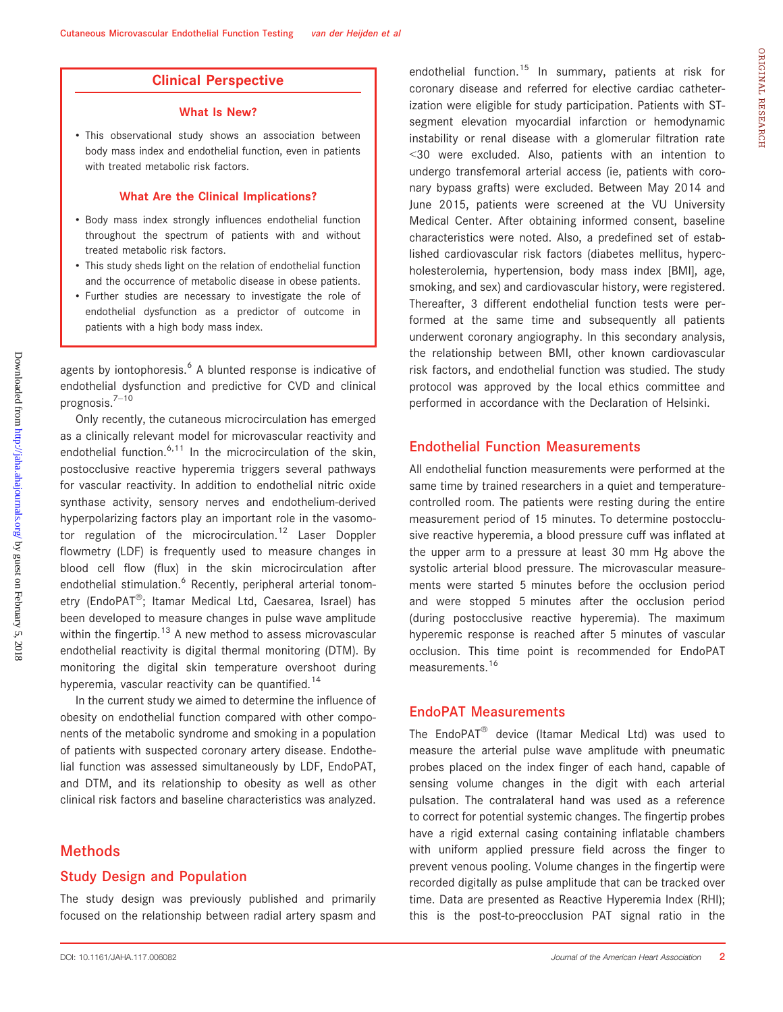# Clinical Perspective

#### What Is New?

• This observational study shows an association between body mass index and endothelial function, even in patients with treated metabolic risk factors.

### What Are the Clinical Implications?

- Body mass index strongly influences endothelial function throughout the spectrum of patients with and without treated metabolic risk factors.
- This study sheds light on the relation of endothelial function and the occurrence of metabolic disease in obese patients.
- Further studies are necessary to investigate the role of endothelial dysfunction as a predictor of outcome in patients with a high body mass index.

agents by iontophoresis. $<sup>6</sup>$  A blunted response is indicative of</sup> endothelial dysfunction and predictive for CVD and clinical prognosis.7–<sup>10</sup>

Only recently, the cutaneous microcirculation has emerged as a clinically relevant model for microvascular reactivity and endothelial function.<sup>6,11</sup> In the microcirculation of the skin, postocclusive reactive hyperemia triggers several pathways for vascular reactivity. In addition to endothelial nitric oxide synthase activity, sensory nerves and endothelium-derived hyperpolarizing factors play an important role in the vasomotor regulation of the microcirculation.<sup>12</sup> Laser Doppler flowmetry (LDF) is frequently used to measure changes in blood cell flow (flux) in the skin microcirculation after endothelial stimulation.<sup>6</sup> Recently, peripheral arterial tonometry (EndoPAT®; Itamar Medical Ltd, Caesarea, Israel) has been developed to measure changes in pulse wave amplitude within the fingertip.<sup>13</sup> A new method to assess microvascular endothelial reactivity is digital thermal monitoring (DTM). By monitoring the digital skin temperature overshoot during hyperemia, vascular reactivity can be quantified.<sup>14</sup>

In the current study we aimed to determine the influence of obesity on endothelial function compared with other components of the metabolic syndrome and smoking in a population of patients with suspected coronary artery disease. Endothelial function was assessed simultaneously by LDF, EndoPAT, and DTM, and its relationship to obesity as well as other clinical risk factors and baseline characteristics was analyzed.

## Methods

#### Study Design and Population

The study design was previously published and primarily focused on the relationship between radial artery spasm and

endothelial function.<sup>15</sup> In summary, patients at risk for coronary disease and referred for elective cardiac catheterization were eligible for study participation. Patients with STsegment elevation myocardial infarction or hemodynamic instability or renal disease with a glomerular filtration rate <30 were excluded. Also, patients with an intention to undergo transfemoral arterial access (ie, patients with coronary bypass grafts) were excluded. Between May 2014 and June 2015, patients were screened at the VU University Medical Center. After obtaining informed consent, baseline characteristics were noted. Also, a predefined set of established cardiovascular risk factors (diabetes mellitus, hypercholesterolemia, hypertension, body mass index [BMI], age, smoking, and sex) and cardiovascular history, were registered. Thereafter, 3 different endothelial function tests were performed at the same time and subsequently all patients underwent coronary angiography. In this secondary analysis, the relationship between BMI, other known cardiovascular risk factors, and endothelial function was studied. The study protocol was approved by the local ethics committee and performed in accordance with the Declaration of Helsinki.

## Endothelial Function Measurements

All endothelial function measurements were performed at the same time by trained researchers in a quiet and temperaturecontrolled room. The patients were resting during the entire measurement period of 15 minutes. To determine postocclusive reactive hyperemia, a blood pressure cuff was inflated at the upper arm to a pressure at least 30 mm Hg above the systolic arterial blood pressure. The microvascular measurements were started 5 minutes before the occlusion period and were stopped 5 minutes after the occlusion period (during postocclusive reactive hyperemia). The maximum hyperemic response is reached after 5 minutes of vascular occlusion. This time point is recommended for EndoPAT measurements.<sup>16</sup>

## EndoPAT Measurements

The EndoPAT $^{\circledR}$  device (Itamar Medical Ltd) was used to measure the arterial pulse wave amplitude with pneumatic probes placed on the index finger of each hand, capable of sensing volume changes in the digit with each arterial pulsation. The contralateral hand was used as a reference to correct for potential systemic changes. The fingertip probes have a rigid external casing containing inflatable chambers with uniform applied pressure field across the finger to prevent venous pooling. Volume changes in the fingertip were recorded digitally as pulse amplitude that can be tracked over time. Data are presented as Reactive Hyperemia Index (RHI); this is the post-to-preocclusion PAT signal ratio in the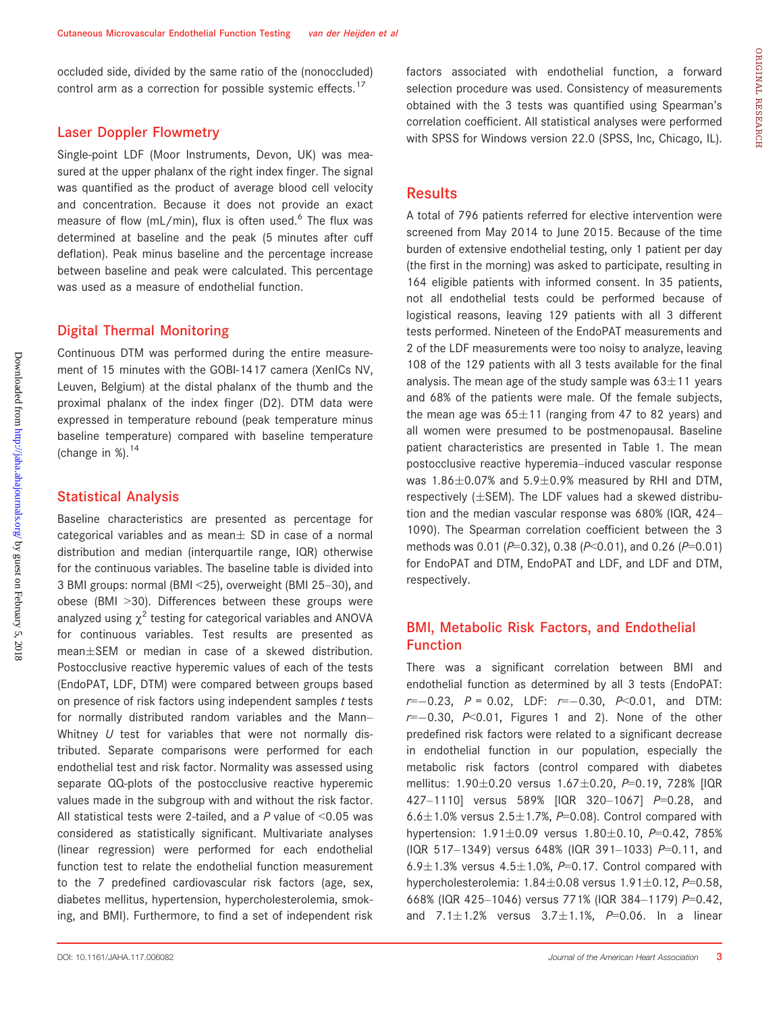occluded side, divided by the same ratio of the (nonoccluded) control arm as a correction for possible systemic effects.<sup>17</sup>

## Laser Doppler Flowmetry

Single-point LDF (Moor Instruments, Devon, UK) was measured at the upper phalanx of the right index finger. The signal was quantified as the product of average blood cell velocity and concentration. Because it does not provide an exact measure of flow (mL/min), flux is often used. $6$  The flux was determined at baseline and the peak (5 minutes after cuff deflation). Peak minus baseline and the percentage increase between baseline and peak were calculated. This percentage was used as a measure of endothelial function.

## Digital Thermal Monitoring

Continuous DTM was performed during the entire measurement of 15 minutes with the GOBI-1417 camera (XenICs NV, Leuven, Belgium) at the distal phalanx of the thumb and the proximal phalanx of the index finger (D2). DTM data were expressed in temperature rebound (peak temperature minus baseline temperature) compared with baseline temperature (change in  $\%$ ).<sup>14</sup>

### Statistical Analysis

Baseline characteristics are presented as percentage for categorical variables and as mean $\pm$  SD in case of a normal distribution and median (interquartile range, IQR) otherwise for the continuous variables. The baseline table is divided into 3 BMI groups: normal (BMI <25), overweight (BMI 25–30), and obese (BMI >30). Differences between these groups were analyzed using  $\chi^2$  testing for categorical variables and ANOVA for continuous variables. Test results are presented as  $mean \pm SEM$  or median in case of a skewed distribution. Postocclusive reactive hyperemic values of each of the tests (EndoPAT, LDF, DTM) were compared between groups based on presence of risk factors using independent samples t tests for normally distributed random variables and the Mann– Whitney  $U$  test for variables that were not normally distributed. Separate comparisons were performed for each endothelial test and risk factor. Normality was assessed using separate QQ-plots of the postocclusive reactive hyperemic values made in the subgroup with and without the risk factor. All statistical tests were 2-tailed, and a  $P$  value of <0.05 was considered as statistically significant. Multivariate analyses (linear regression) were performed for each endothelial function test to relate the endothelial function measurement to the 7 predefined cardiovascular risk factors (age, sex, diabetes mellitus, hypertension, hypercholesterolemia, smoking, and BMI). Furthermore, to find a set of independent risk

factors associated with endothelial function, a forward selection procedure was used. Consistency of measurements obtained with the 3 tests was quantified using Spearman's correlation coefficient. All statistical analyses were performed with SPSS for Windows version 22.0 (SPSS, Inc, Chicago, IL).

## **Results**

A total of 796 patients referred for elective intervention were screened from May 2014 to June 2015. Because of the time burden of extensive endothelial testing, only 1 patient per day (the first in the morning) was asked to participate, resulting in 164 eligible patients with informed consent. In 35 patients, not all endothelial tests could be performed because of logistical reasons, leaving 129 patients with all 3 different tests performed. Nineteen of the EndoPAT measurements and 2 of the LDF measurements were too noisy to analyze, leaving 108 of the 129 patients with all 3 tests available for the final analysis. The mean age of the study sample was  $63\pm11$  years and 68% of the patients were male. Of the female subjects, the mean age was  $65\pm11$  (ranging from 47 to 82 years) and all women were presumed to be postmenopausal. Baseline patient characteristics are presented in Table 1. The mean postocclusive reactive hyperemia–induced vascular response was  $1.86\pm0.07\%$  and  $5.9\pm0.9\%$  measured by RHI and DTM, respectively  $(\pm$ SEM). The LDF values had a skewed distribution and the median vascular response was 680% (IQR, 424– 1090). The Spearman correlation coefficient between the 3 methods was 0.01 ( $P=0.32$ ), 0.38 ( $P<0.01$ ), and 0.26 ( $P=0.01$ ) for EndoPAT and DTM, EndoPAT and LDF, and LDF and DTM, respectively.

# BMI, Metabolic Risk Factors, and Endothelial Function

There was a significant correlation between BMI and endothelial function as determined by all 3 tests (EndoPAT:  $r=-0.23$ ,  $P = 0.02$ , LDF:  $r=-0.30$ ,  $P<0.01$ , and DTM:  $r=-0.30$ ,  $P<0.01$ , Figures 1 and 2). None of the other predefined risk factors were related to a significant decrease in endothelial function in our population, especially the metabolic risk factors (control compared with diabetes mellitus:  $1.90 \pm 0.20$  versus  $1.67 \pm 0.20$ ,  $P=0.19$ , 728% [IQR 427-1110] versus 589% [IQR 320-1067]  $P=0.28$ , and 6.6 $\pm$ 1.0% versus 2.5 $\pm$ 1.7%, P=0.08). Control compared with hypertension:  $1.91 \pm 0.09$  versus  $1.80 \pm 0.10$ ,  $P=0.42$ , 785% (IQR 517-1349) versus 648% (IQR 391-1033)  $P=0.11$ , and 6.9 $\pm$ 1.3% versus 4.5 $\pm$ 1.0%, P=0.17. Control compared with hypercholesterolemia:  $1.84 \pm 0.08$  versus  $1.91 \pm 0.12$ ,  $P=0.58$ , 668% (IQR 425–1046) versus 771% (IQR 384–1179) P=0.42, and 7.1 $\pm$ 1.2% versus 3.7 $\pm$ 1.1%, P=0.06. In a linear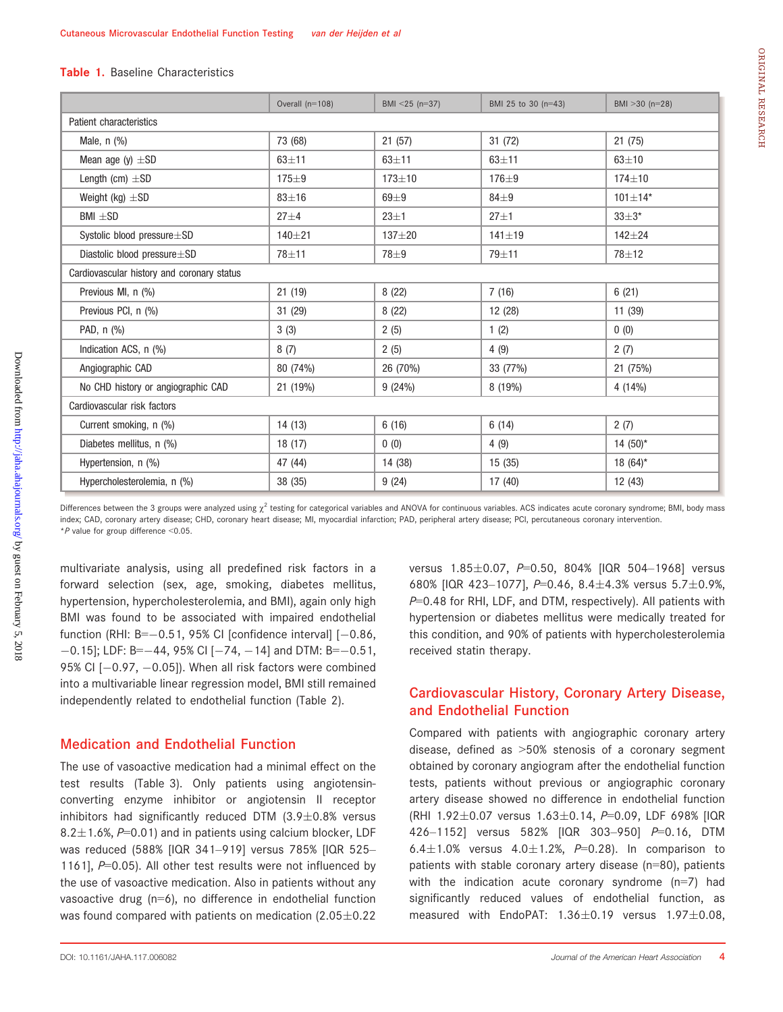#### Table 1. Baseline Characteristics

|                                            | Overall (n=108) | BMI <25 ( $n=37$ ) | BMI 25 to 30 (n=43) | $BMI > 30 (n=28)$ |  |  |  |  |
|--------------------------------------------|-----------------|--------------------|---------------------|-------------------|--|--|--|--|
| Patient characteristics                    |                 |                    |                     |                   |  |  |  |  |
| Male, $n$ $(\%)$                           | 73 (68)         | 21(57)             | 31(72)              | 21(75)            |  |  |  |  |
| Mean age $(y) \pm SD$                      | $63 + 11$       | $63 + 11$          | $63 + 11$           | $63 + 10$         |  |  |  |  |
| Length (cm) $\pm$ SD                       | $175 + 9$       | $173 + 10$         | $176 + 9$           | $174 + 10$        |  |  |  |  |
| Weight (kg) $\pm$ SD                       | $83 + 16$       | $69+9$             | $84\pm9$            | $101 \pm 14$ *    |  |  |  |  |
| $BMI \pm SD$                               | $27 + 4$        | $23 \pm 1$         | $27 + 1$            | $33 + 3*$         |  |  |  |  |
| Systolic blood pressure ±SD                | 140±21          | $137 + 20$         | 141±19              | $142 + 24$        |  |  |  |  |
| Diastolic blood pressure ±SD               | 78±11           | $78 + 9$           | $79 + 11$           | 78±12             |  |  |  |  |
| Cardiovascular history and coronary status |                 |                    |                     |                   |  |  |  |  |
| Previous MI, n (%)                         | 21(19)          | 8(22)              | 7(16)               | 6(21)             |  |  |  |  |
| Previous PCI, n (%)                        | 31 (29)         | 8(22)              | 12 (28)             | 11 (39)           |  |  |  |  |
| PAD, n (%)                                 | 3(3)            | 2(5)               | 1(2)                | 0(0)              |  |  |  |  |
| Indication ACS, n (%)                      | 8(7)            | 2(5)               | 4(9)                | 2(7)              |  |  |  |  |
| Angiographic CAD                           | 80 (74%)        | 26 (70%)           | 33 (77%)            | 21 (75%)          |  |  |  |  |
| No CHD history or angiographic CAD         | 21 (19%)        | 9(24%)             | 8(19%)              | 4(14%)            |  |  |  |  |
| Cardiovascular risk factors                |                 |                    |                     |                   |  |  |  |  |
| Current smoking, n (%)                     | 14(13)          | 6(16)              | 6(14)               | 2(7)              |  |  |  |  |
| Diabetes mellitus, n (%)                   | 18(17)          | 0(0)               | 4(9)                | $14(50)^{*}$      |  |  |  |  |
| Hypertension, n (%)                        | 47 (44)         | 14 (38)            | 15 (35)             | $18(64)$ *        |  |  |  |  |
| Hypercholesterolemia, n (%)                | 38 (35)         | 9(24)              | 17(40)              | 12(43)            |  |  |  |  |

Differences between the 3 groups were analyzed using  $\chi^2$  testing for categorical variables and ANOVA for continuous variables. ACS indicates acute coronary syndrome; BMI, body mass index; CAD, coronary artery disease; CHD, coronary heart disease; MI, myocardial infarction; PAD, peripheral artery disease; PCI, percutaneous coronary intervention. \*P value for group difference <0.05.

multivariate analysis, using all predefined risk factors in a forward selection (sex, age, smoking, diabetes mellitus, hypertension, hypercholesterolemia, and BMI), again only high BMI was found to be associated with impaired endothelial function (RHI:  $B=-0.51$ , 95% CI [confidence interval]  $[-0.86,$  $-0.15$ ; LDF: B= $-44$ , 95% CI [ $-74$ ,  $-14$ ] and DTM: B= $-0.51$ , 95% CI  $[-0.97, -0.05]$ . When all risk factors were combined into a multivariable linear regression model, BMI still remained independently related to endothelial function (Table 2).

## Medication and Endothelial Function

The use of vasoactive medication had a minimal effect on the test results (Table 3). Only patients using angiotensinconverting enzyme inhibitor or angiotensin II receptor inhibitors had significantly reduced DTM  $(3.9\pm0.8\%)$  versus 8.2 $\pm$ 1.6%, P=0.01) and in patients using calcium blocker, LDF was reduced (588% [IQR 341–919] versus 785% [IQR 525– 1161],  $P=0.05$ ). All other test results were not influenced by the use of vasoactive medication. Also in patients without any vasoactive drug (n=6), no difference in endothelial function was found compared with patients on medication  $(2.05\pm0.22)$ 

versus  $1.85 \pm 0.07$ ,  $P=0.50$ ,  $804\%$  [IQR 504-1968] versus 680% [IQR 423-1077],  $P=0.46$ , 8.4 $\pm$ 4.3% versus 5.7 $\pm$ 0.9%,  $P=0.48$  for RHI, LDF, and DTM, respectively). All patients with hypertension or diabetes mellitus were medically treated for this condition, and 90% of patients with hypercholesterolemia received statin therapy.

# Cardiovascular History, Coronary Artery Disease, and Endothelial Function

Compared with patients with angiographic coronary artery disease, defined as >50% stenosis of a coronary segment obtained by coronary angiogram after the endothelial function tests, patients without previous or angiographic coronary artery disease showed no difference in endothelial function (RHI 1.92 $\pm$ 0.07 versus 1.63 $\pm$ 0.14, P=0.09, LDF 698% [IQR 426–1152] versus 582% [IQR 303–950]  $P=0.16$ , DTM 6.4 $\pm$ 1.0% versus 4.0 $\pm$ 1.2%, P=0.28). In comparison to patients with stable coronary artery disease (n=80), patients with the indication acute coronary syndrome  $(n=7)$  had significantly reduced values of endothelial function, as measured with EndoPAT:  $1.36 \pm 0.19$  versus  $1.97 \pm 0.08$ ,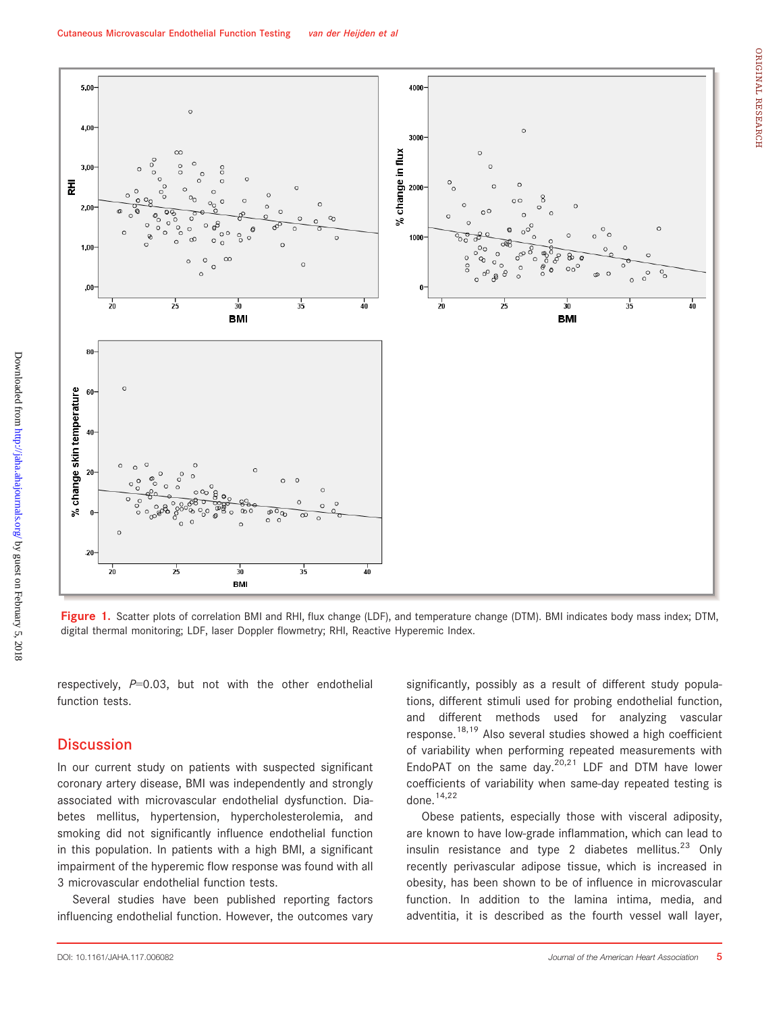

Figure 1. Scatter plots of correlation BMI and RHI, flux change (LDF), and temperature change (DTM). BMI indicates body mass index; DTM, digital thermal monitoring; LDF, laser Doppler flowmetry; RHI, Reactive Hyperemic Index.

respectively,  $P=0.03$ , but not with the other endothelial function tests.

# **Discussion**

In our current study on patients with suspected significant coronary artery disease, BMI was independently and strongly associated with microvascular endothelial dysfunction. Diabetes mellitus, hypertension, hypercholesterolemia, and smoking did not significantly influence endothelial function in this population. In patients with a high BMI, a significant impairment of the hyperemic flow response was found with all 3 microvascular endothelial function tests.

Several studies have been published reporting factors influencing endothelial function. However, the outcomes vary significantly, possibly as a result of different study populations, different stimuli used for probing endothelial function, and different methods used for analyzing vascular response.<sup>18,19</sup> Also several studies showed a high coefficient of variability when performing repeated measurements with EndoPAT on the same day. $20,21$  LDF and DTM have lower coefficients of variability when same-day repeated testing is done.14,22

Obese patients, especially those with visceral adiposity, are known to have low-grade inflammation, which can lead to insulin resistance and type 2 diabetes mellitus. $23$  Only recently perivascular adipose tissue, which is increased in obesity, has been shown to be of influence in microvascular function. In addition to the lamina intima, media, and adventitia, it is described as the fourth vessel wall layer,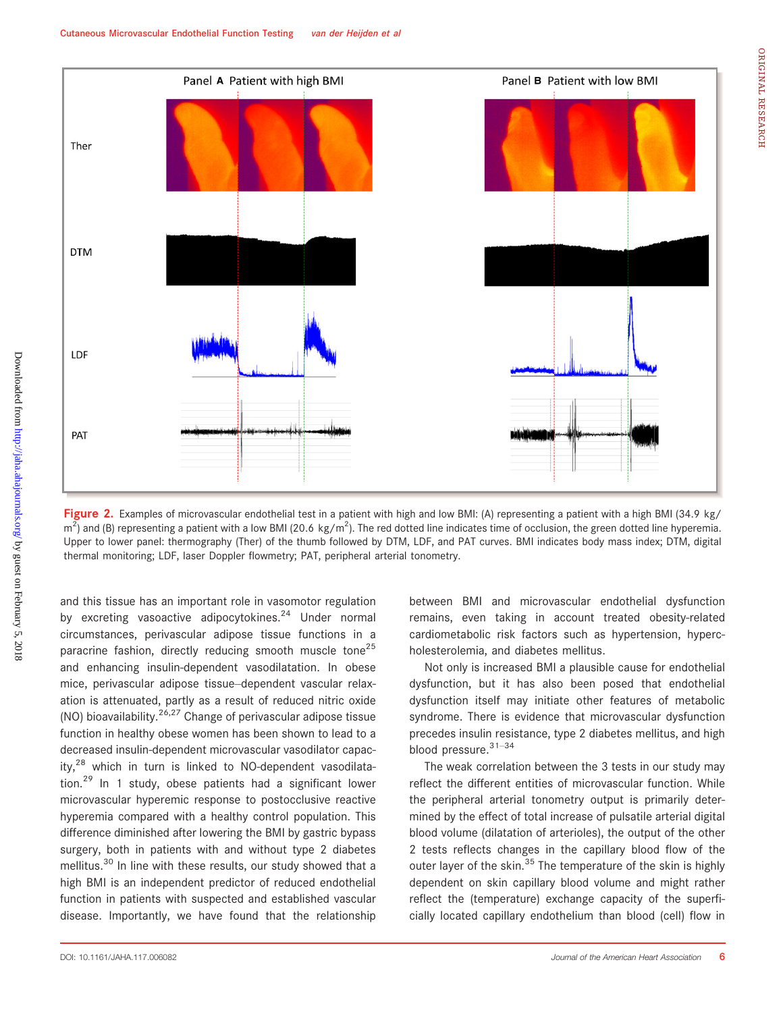

Figure 2. Examples of microvascular endothelial test in a patient with high and low BMI: (A) representing a patient with a high BMI (34.9 kg/  $\rm m^2$ ) and (B) representing a patient with a low BMI (20.6 kg/m<sup>2</sup>). The red dotted line indicates time of occlusion, the green dotted line hyperemia. Upper to lower panel: thermography (Ther) of the thumb followed by DTM, LDF, and PAT curves. BMI indicates body mass index; DTM, digital thermal monitoring; LDF, laser Doppler flowmetry; PAT, peripheral arterial tonometry.

and this tissue has an important role in vasomotor regulation by excreting vasoactive adipocytokines.<sup>24</sup> Under normal circumstances, perivascular adipose tissue functions in a paracrine fashion, directly reducing smooth muscle tone<sup>25</sup> and enhancing insulin-dependent vasodilatation. In obese mice, perivascular adipose tissue–dependent vascular relaxation is attenuated, partly as a result of reduced nitric oxide (NO) bioavailability.<sup>26,27</sup> Change of perivascular adipose tissue function in healthy obese women has been shown to lead to a decreased insulin-dependent microvascular vasodilator capacity, $28$  which in turn is linked to NO-dependent vasodilatation.<sup>29</sup> In 1 study, obese patients had a significant lower microvascular hyperemic response to postocclusive reactive hyperemia compared with a healthy control population. This difference diminished after lowering the BMI by gastric bypass surgery, both in patients with and without type 2 diabetes mellitus.<sup>30</sup> In line with these results, our study showed that a high BMI is an independent predictor of reduced endothelial function in patients with suspected and established vascular disease. Importantly, we have found that the relationship

between BMI and microvascular endothelial dysfunction remains, even taking in account treated obesity-related cardiometabolic risk factors such as hypertension, hypercholesterolemia, and diabetes mellitus.

Not only is increased BMI a plausible cause for endothelial dysfunction, but it has also been posed that endothelial dysfunction itself may initiate other features of metabolic syndrome. There is evidence that microvascular dysfunction precedes insulin resistance, type 2 diabetes mellitus, and high blood pressure. $31-34$ 

The weak correlation between the 3 tests in our study may reflect the different entities of microvascular function. While the peripheral arterial tonometry output is primarily determined by the effect of total increase of pulsatile arterial digital blood volume (dilatation of arterioles), the output of the other 2 tests reflects changes in the capillary blood flow of the outer layer of the skin.<sup>35</sup> The temperature of the skin is highly dependent on skin capillary blood volume and might rather reflect the (temperature) exchange capacity of the superficially located capillary endothelium than blood (cell) flow in ORIGINAL

RESEARCH

ORIGINAL RESEARCH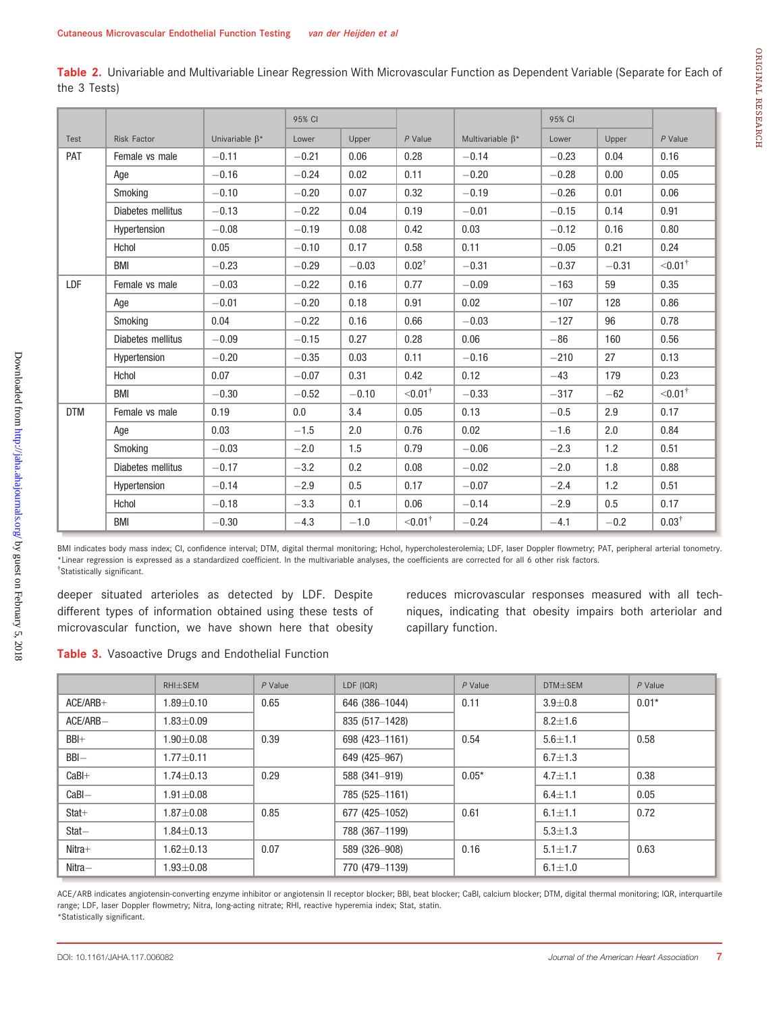|            |                    |                       | 95% CI  |         |                       |                         | 95% CI  |         |                       |
|------------|--------------------|-----------------------|---------|---------|-----------------------|-------------------------|---------|---------|-----------------------|
| Test       | <b>Risk Factor</b> | Univariable $\beta^*$ | Lower   | Upper   | $P$ Value             | Multivariable $\beta^*$ | Lower   | Upper   | $P$ Value             |
| PAT        | Female vs male     | $-0.11$               | $-0.21$ | 0.06    | 0.28                  | $-0.14$                 | $-0.23$ | 0.04    | 0.16                  |
|            | Age                | $-0.16$               | $-0.24$ | 0.02    | 0.11                  | $-0.20$                 | $-0.28$ | 0.00    | 0.05                  |
|            | Smoking            | $-0.10$               | $-0.20$ | 0.07    | 0.32                  | $-0.19$                 | $-0.26$ | 0.01    | 0.06                  |
|            | Diabetes mellitus  | $-0.13$               | $-0.22$ | 0.04    | 0.19                  | $-0.01$                 | $-0.15$ | 0.14    | 0.91                  |
|            | Hypertension       | $-0.08$               | $-0.19$ | 0.08    | 0.42                  | 0.03                    | $-0.12$ | 0.16    | 0.80                  |
|            | Hchol              | 0.05                  | $-0.10$ | 0.17    | 0.58                  | 0.11                    | $-0.05$ | 0.21    | 0.24                  |
|            | <b>BMI</b>         | $-0.23$               | $-0.29$ | $-0.03$ | $0.02^{\dagger}$      | $-0.31$                 | $-0.37$ | $-0.31$ | $<$ 0.01 $^{\dagger}$ |
| LDF        | Female vs male     | $-0.03$               | $-0.22$ | 0.16    | 0.77                  | $-0.09$                 | $-163$  | 59      | 0.35                  |
|            | Age                | $-0.01$               | $-0.20$ | 0.18    | 0.91                  | 0.02                    | $-107$  | 128     | 0.86                  |
|            | Smoking            | 0.04                  | $-0.22$ | 0.16    | 0.66                  | $-0.03$                 | $-127$  | 96      | 0.78                  |
|            | Diabetes mellitus  | $-0.09$               | $-0.15$ | 0.27    | 0.28                  | 0.06                    | $-86$   | 160     | 0.56                  |
|            | Hypertension       | $-0.20$               | $-0.35$ | 0.03    | 0.11                  | $-0.16$                 | $-210$  | 27      | 0.13                  |
|            | Hchol              | 0.07                  | $-0.07$ | 0.31    | 0.42                  | 0.12                    | $-43$   | 179     | 0.23                  |
|            | <b>BMI</b>         | $-0.30$               | $-0.52$ | $-0.10$ | $< 0.01$ <sup>†</sup> | $-0.33$                 | $-317$  | $-62$   | $<$ 0.01 $^{\dagger}$ |
| <b>DTM</b> | Female vs male     | 0.19                  | $0.0\,$ | 3.4     | 0.05                  | 0.13                    | $-0.5$  | 2.9     | 0.17                  |
|            | Age                | 0.03                  | $-1.5$  | 2.0     | 0.76                  | 0.02                    | $-1.6$  | 2.0     | 0.84                  |
|            | Smoking            | $-0.03$               | $-2.0$  | 1.5     | 0.79                  | $-0.06$                 | $-2.3$  | 1.2     | 0.51                  |
|            | Diabetes mellitus  | $-0.17$               | $-3.2$  | 0.2     | 0.08                  | $-0.02$                 | $-2.0$  | 1.8     | 0.88                  |

Table 2. Univariable and Multivariable Linear Regression With Microvascular Function as Dependent Variable (Separate for Each of the 3 Tests)

BMI indicates body mass index; CI, confidence interval; DTM, digital thermal monitoring; Hchol, hypercholesterolemia; LDF, laser Doppler flowmetry; PAT, peripheral arterial tonometry. \*Linear regression is expressed as a standardized coefficient. In the multivariable analyses, the coefficients are corrected for all 6 other risk factors. † Statistically significant.

Hypertension | −0.14 | −2.9 | 0.5 | 0.17 | −0.07 | −2.4 | 1.2 | 0.51 Hchol 0.18 3.3 0.1 0.06 0.14 2.9 0.5 0.17 BMI  $-0.30$   $-4.3$   $-1.0$   $< 0.01^{\dagger}$   $-0.24$   $-4.1$   $-0.2$   $0.03^{\dagger}$ 

deeper situated arterioles as detected by LDF. Despite different types of information obtained using these tests of microvascular function, we have shown here that obesity reduces microvascular responses measured with all techniques, indicating that obesity impairs both arteriolar and capillary function.

Table 3. Vasoactive Drugs and Endothelial Function

|             | $RHI\pm SEM$    | $P$ Value | LDF (IQR)      | $P$ Value | <b>DTM±SEM</b> | $P$ Value |
|-------------|-----------------|-----------|----------------|-----------|----------------|-----------|
| $ACE/ARB+$  | $1.89 + 0.10$   | 0.65      | 646 (386-1044) | 0.11      | $3.9 + 0.8$    | $0.01*$   |
| $ACE/ARB -$ | $1.83 + 0.09$   |           | 835 (517-1428) |           | $8.2 \pm 1.6$  |           |
| BBI+        | $1.90 + 0.08$   | 0.39      | 698 (423-1161) | 0.54      | $5.6 + 1.1$    | 0.58      |
| $BBI -$     | $1.77 \pm 0.11$ |           | 649 (425-967)  |           | $6.7 \pm 1.3$  |           |
| $CaBI+$     | $1.74 \pm 0.13$ | 0.29      | 588 (341-919)  | $0.05*$   | $4.7 \pm 1.1$  | 0.38      |
| $CaBI -$    | $1.91 \pm 0.08$ |           | 785 (525-1161) |           | $6.4 \pm 1.1$  | 0.05      |
| $Stat+$     | $1.87 + 0.08$   | 0.85      | 677 (425-1052) | 0.61      | $6.1 \pm 1.1$  | 0.72      |
| $Stat -$    | $1.84 \pm 0.13$ |           | 788 (367-1199) |           | $5.3 \pm 1.3$  |           |
| Nitra+      | $1.62 \pm 0.13$ | 0.07      | 589 (326-908)  | 0.16      | $5.1 \pm 1.7$  | 0.63      |
| Nitra-      | $1.93 + 0.08$   |           | 770 (479-1139) |           | $6.1 \pm 1.0$  |           |

ACE/ARB indicates angiotensin-converting enzyme inhibitor or angiotensin II receptor blocker; BBl, beat blocker; CaBl, calcium blocker; DTM, digital thermal monitoring; IQR, interquartile range; LDF, laser Doppler flowmetry; Nitra, long-acting nitrate; RHI, reactive hyperemia index; Stat, statin. \*Statistically significant.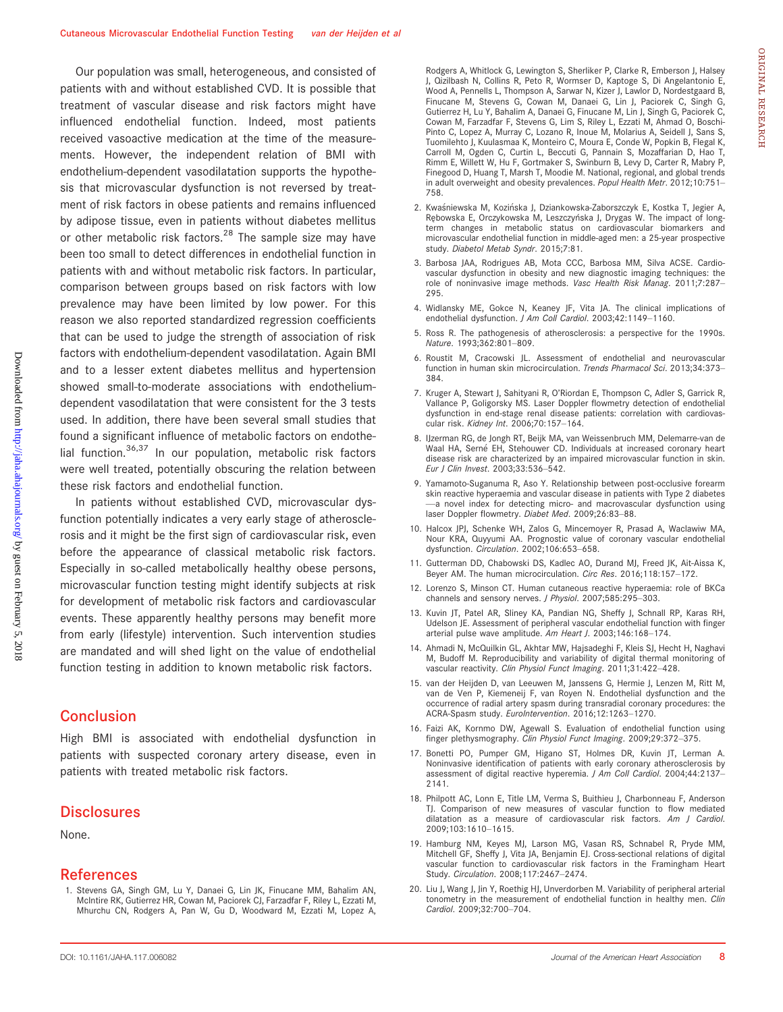Our population was small, heterogeneous, and consisted of patients with and without established CVD. It is possible that treatment of vascular disease and risk factors might have influenced endothelial function. Indeed, most patients received vasoactive medication at the time of the measurements. However, the independent relation of BMI with endothelium-dependent vasodilatation supports the hypothesis that microvascular dysfunction is not reversed by treatment of risk factors in obese patients and remains influenced by adipose tissue, even in patients without diabetes mellitus or other metabolic risk factors.<sup>28</sup> The sample size may have been too small to detect differences in endothelial function in patients with and without metabolic risk factors. In particular, comparison between groups based on risk factors with low prevalence may have been limited by low power. For this reason we also reported standardized regression coefficients that can be used to judge the strength of association of risk factors with endothelium-dependent vasodilatation. Again BMI and to a lesser extent diabetes mellitus and hypertension showed small-to-moderate associations with endotheliumdependent vasodilatation that were consistent for the 3 tests used. In addition, there have been several small studies that found a significant influence of metabolic factors on endothelial function.36,37 In our population, metabolic risk factors were well treated, potentially obscuring the relation between these risk factors and endothelial function.

In patients without established CVD, microvascular dysfunction potentially indicates a very early stage of atherosclerosis and it might be the first sign of cardiovascular risk, even before the appearance of classical metabolic risk factors. Especially in so-called metabolically healthy obese persons, microvascular function testing might identify subjects at risk for development of metabolic risk factors and cardiovascular events. These apparently healthy persons may benefit more from early (lifestyle) intervention. Such intervention studies are mandated and will shed light on the value of endothelial function testing in addition to known metabolic risk factors.

# **Conclusion**

High BMI is associated with endothelial dysfunction in patients with suspected coronary artery disease, even in patients with treated metabolic risk factors.

#### **Disclosures**

None.

#### References

Stevens GA, Singh GM, Lu Y, Danaei G, Lin JK, Finucane MM, Bahalim AN, McIntire RK, Gutierrez HR, Cowan M, Paciorek CJ, Farzadfar F, Riley L, Ezzati M, Mhurchu CN, Rodgers A, Pan W, Gu D, Woodward M, Ezzati M, Lopez A,

Rodgers A, Whitlock G, Lewington S, Sherliker P, Clarke R, Emberson J, Halsey J, Qizilbash N, Collins R, Peto R, Wormser D, Kaptoge S, Di Angelantonio E, Wood A, Pennells L, Thompson A, Sarwar N, Kizer J, Lawlor D, Nordestgaard B, Finucane M, Stevens G, Cowan M, Danaei G, Lin J, Paciorek C, Singh G, Gutierrez H, Lu Y, Bahalim A, Danaei G, Finucane M, Lin J, Singh G, Paciorek C, Cowan M, Farzadfar F, Stevens G, Lim S, Riley L, Ezzati M, Ahmad O, Boschi-Pinto C, Lopez A, Murray C, Lozano R, Inoue M, Molarius A, Seidell J, Sans S, Tuomilehto J, Kuulasmaa K, Monteiro C, Moura E, Conde W, Popkin B, Flegal K, Carroll M, Ogden C, Curtin L, Beccuti G, Pannain S, Mozaffarian D, Hao T, Rimm E, Willett W, Hu F, Gortmaker S, Swinburn B, Levy D, Carter R, Mabry P, Finegood D, Huang T, Marsh T, Moodie M. National, regional, and global trends in adult overweight and obesity prevalences. Popul Health Metr. 2012;10:751-758.

- 2. Kwaśniewska M, Kozińska J, Dziankowska-Zaborszczyk E, Kostka T, Jegier A, Rębowska E, Orczykowska M, Leszczyńska J, Drygas W. The impact of longterm changes in metabolic status on cardiovascular biomarkers and microvascular endothelial function in middle-aged men: a 25-year prospective study. Diabetol Metab Syndr. 2015;7:81.
- 3. Barbosa JAA, Rodrigues AB, Mota CCC, Barbosa MM, Silva ACSE. Cardiovascular dysfunction in obesity and new diagnostic imaging techniques: the role of noninvasive image methods. Vasc Health Risk Manag. 2011;7:287– 295.
- 4. Widlansky ME, Gokce N, Keaney JF, Vita JA. The clinical implications of endothelial dysfunction. J Am Coll Cardiol. 2003;42:1149–1160.
- 5. Ross R. The pathogenesis of atherosclerosis: a perspective for the 1990s. Nature. 1993;362:801–809.
- 6. Roustit M, Cracowski JL. Assessment of endothelial and neurovascular function in human skin microcirculation. Trends Pharmacol Sci. 2013;34:373– 384.
- 7. Kruger A, Stewart J, Sahityani R, O'Riordan E, Thompson C, Adler S, Garrick R, Vallance P, Goligorsky MS. Laser Doppler flowmetry detection of endothelial dysfunction in end-stage renal disease patients: correlation with cardiovascular risk. Kidney Int. 2006;70:157–164.
- 8. IJzerman RG, de Jongh RT, Beijk MA, van Weissenbruch MM, Delemarre-van de Waal HA, Serne EH, Stehouwer CD. Individuals at increased coronary heart disease risk are characterized by an impaired microvascular function in skin. Eur J Clin Invest. 2003;33:536–542.
- 9. Yamamoto-Suganuma R, Aso Y. Relationship between post-occlusive forearm skin reactive hyperaemia and vascular disease in patients with Type 2 diabetes —a novel index for detecting micro- and macrovascular dysfunction using laser Doppler flowmetry. Diabet Med. 2009;26:83–88.
- 10. Halcox JPJ, Schenke WH, Zalos G, Mincemoyer R, Prasad A, Waclawiw MA, Nour KRA, Quyyumi AA. Prognostic value of coronary vascular endothelial dysfunction. Circulation. 2002;106:653–658.
- 11. Gutterman DD, Chabowski DS, Kadlec AO, Durand MJ, Freed JK, Ait-Aissa K, Beyer AM. The human microcirculation. Circ Res. 2016;118:157–172.
- 12. Lorenzo S, Minson CT. Human cutaneous reactive hyperaemia: role of BKCa channels and sensory nerves. J Physiol. 2007;585:295–303.
- 13. Kuvin JT, Patel AR, Sliney KA, Pandian NG, Sheffy J, Schnall RP, Karas RH, Udelson JE. Assessment of peripheral vascular endothelial function with finger arterial pulse wave amplitude. Am Heart J. 2003;146:168–174.
- 14. Ahmadi N, McQuilkin GL, Akhtar MW, Hajsadeghi F, Kleis SJ, Hecht H, Naghavi M, Budoff M. Reproducibility and variability of digital thermal monitoring of vascular reactivity. Clin Physiol Funct Imaging. 2011;31:422–428.
- 15. van der Heijden D, van Leeuwen M, Janssens G, Hermie J, Lenzen M, Ritt M, van de Ven P, Kiemeneij F, van Royen N. Endothelial dysfunction and the occurrence of radial artery spasm during transradial coronary procedures: the ACRA-Spasm study. EuroIntervention. 2016;12:1263-1270.
- 16. Faizi AK, Kornmo DW, Agewall S. Evaluation of endothelial function using finger plethysmography. Clin Physiol Funct Imaging. 2009;29:372–375.
- 17. Bonetti PO, Pumper GM, Higano ST, Holmes DR, Kuvin JT, Lerman A. Noninvasive identification of patients with early coronary atherosclerosis by assessment of digital reactive hyperemia. J Am Coll Cardiol. 2004;44:2137– 2141.
- 18. Philpott AC, Lonn E, Title LM, Verma S, Buithieu J, Charbonneau F, Anderson TJ. Comparison of new measures of vascular function to flow mediated dilatation as a measure of cardiovascular risk factors. Am J Cardiol. 2009;103:1610–1615.
- 19. Hamburg NM, Keyes MJ, Larson MG, Vasan RS, Schnabel R, Pryde MM, Mitchell GF, Sheffy J, Vita JA, Benjamin EJ. Cross-sectional relations of digital vascular function to cardiovascular risk factors in the Framingham Heart Study. Circulation. 2008;117:2467–2474.
- 20. Liu J, Wang J, Jin Y, Roethig HJ, Unverdorben M. Variability of peripheral arterial tonometry in the measurement of endothelial function in healthy men. Clin Cardiol. 2009;32:700–704.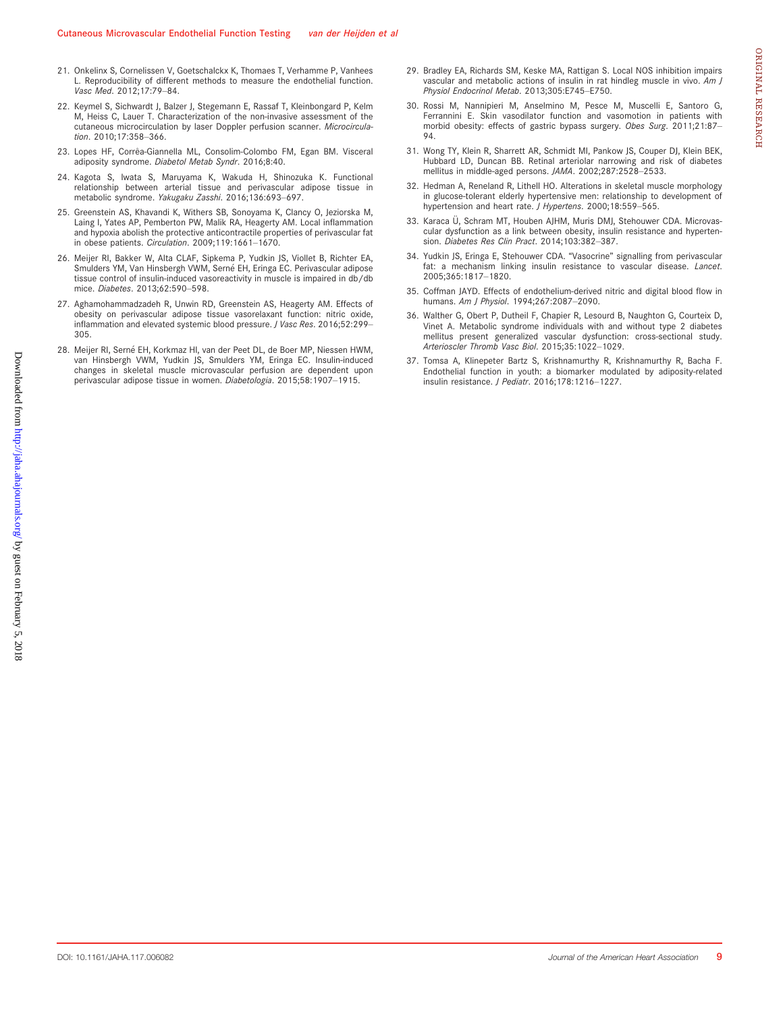- 21. Onkelinx S, Cornelissen V, Goetschalckx K, Thomaes T, Verhamme P, Vanhees L. Reproducibility of different methods to measure the endothelial function. Vasc Med. 2012;17:79–84.
- 22. Keymel S, Sichwardt J, Balzer J, Stegemann E, Rassaf T, Kleinbongard P, Kelm M, Heiss C, Lauer T. Characterization of the non-invasive assessment of the cutaneous microcirculation by laser Doppler perfusion scanner. Microcirculation. 2010;17:358–366.
- 23. Lopes HF, Corrêa-Giannella ML, Consolim-Colombo FM, Egan BM. Visceral adiposity syndrome. Diabetol Metab Syndr. 2016;8:40.
- 24. Kagota S, Iwata S, Maruyama K, Wakuda H, Shinozuka K. Functional relationship between arterial tissue and perivascular adipose tissue in metabolic syndrome. Yakugaku Zasshi. 2016;136:693–697.
- 25. Greenstein AS, Khavandi K, Withers SB, Sonoyama K, Clancy O, Jeziorska M, Laing I, Yates AP, Pemberton PW, Malik RA, Heagerty AM. Local inflammation and hypoxia abolish the protective anticontractile properties of perivascular fat in obese patients. Circulation. 2009;119:1661–1670.
- 26. Meijer RI, Bakker W, Alta CLAF, Sipkema P, Yudkin JS, Viollet B, Richter EA, Smulders YM, Van Hinsbergh VWM, Serne EH, Eringa EC. Perivascular adipose tissue control of insulin-induced vasoreactivity in muscle is impaired in db/db mice. Diabetes. 2013;62:590–598.
- 27. Aghamohammadzadeh R, Unwin RD, Greenstein AS, Heagerty AM. Effects of obesity on perivascular adipose tissue vasorelaxant function: nitric oxide, inflammation and elevated systemic blood pressure. J Vasc Res. 2016;52:299-305.
- 28. Meijer RI, Serné EH, Korkmaz HI, van der Peet DL, de Boer MP, Niessen HWM, van Hinsbergh VWM, Yudkin JS, Smulders YM, Eringa EC. Insulin-induced changes in skeletal muscle microvascular perfusion are dependent upon perivascular adipose tissue in women. Diabetologia. 2015;58:1907–1915.
- 29. Bradley EA, Richards SM, Keske MA, Rattigan S. Local NOS inhibition impairs vascular and metabolic actions of insulin in rat hindleg muscle in vivo. Am J Physiol Endocrinol Metab. 2013;305:E745–E750.
- 30. Rossi M, Nannipieri M, Anselmino M, Pesce M, Muscelli E, Santoro G, Ferrannini E. Skin vasodilator function and vasomotion in patients with morbid obesity: effects of gastric bypass surgery. Obes Surg. 2011;21:87– 94.
- 31. Wong TY, Klein R, Sharrett AR, Schmidt MI, Pankow JS, Couper DJ, Klein BEK, Hubbard LD, Duncan BB. Retinal arteriolar narrowing and risk of diabetes mellitus in middle-aged persons. JAMA. 2002;287:2528–2533.
- 32. Hedman A, Reneland R, Lithell HO. Alterations in skeletal muscle morphology in glucose-tolerant elderly hypertensive men: relationship to development of hypertension and heart rate. J Hypertens. 2000;18:559–565.
- 33. Karaca Ü, Schram MT, Houben AJHM, Muris DMJ, Stehouwer CDA. Microvascular dysfunction as a link between obesity, insulin resistance and hypertension. Diabetes Res Clin Pract. 2014;103:382–387.
- 34. Yudkin JS, Eringa E, Stehouwer CDA. "Vasocrine" signalling from perivascular fat: a mechanism linking insulin resistance to vascular disease. Lancet. 2005;365:1817–1820.
- 35. Coffman JAYD. Effects of endothelium-derived nitric and digital blood flow in humans. Am J Physiol. 1994;267:2087–2090.
- 36. Walther G, Obert P, Dutheil F, Chapier R, Lesourd B, Naughton G, Courteix D, Vinet A. Metabolic syndrome individuals with and without type 2 diabetes mellitus present generalized vascular dysfunction: cross-sectional study. Arterioscler Thromb Vasc Biol. 2015;35:1022–1029.
- 37. Tomsa A, Klinepeter Bartz S, Krishnamurthy R, Krishnamurthy R, Bacha F. Endothelial function in youth: a biomarker modulated by adiposity-related insulin resistance. J Pediatr. 2016;178:1216–1227.